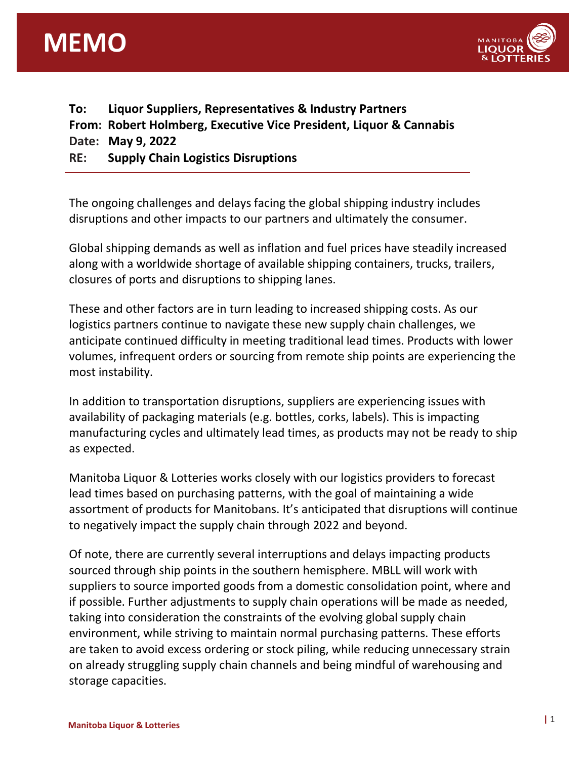



| To: | Liquor Suppliers, Representatives & Industry Partners              |
|-----|--------------------------------------------------------------------|
|     | From: Robert Holmberg, Executive Vice President, Liquor & Cannabis |
|     | Date: May 9, 2022                                                  |
| RE: | <b>Supply Chain Logistics Disruptions</b>                          |

The ongoing challenges and delays facing the global shipping industry includes disruptions and other impacts to our partners and ultimately the consumer.

Global shipping demands as well as inflation and fuel prices have steadily increased along with a worldwide shortage of available shipping containers, trucks, trailers, closures of ports and disruptions to shipping lanes.

These and other factors are in turn leading to increased shipping costs. As our logistics partners continue to navigate these new supply chain challenges, we anticipate continued difficulty in meeting traditional lead times. Products with lower volumes, infrequent orders or sourcing from remote ship points are experiencing the most instability.

In addition to transportation disruptions, suppliers are experiencing issues with availability of packaging materials (e.g. bottles, corks, labels). This is impacting manufacturing cycles and ultimately lead times, as products may not be ready to ship as expected.

Manitoba Liquor & Lotteries works closely with our logistics providers to forecast lead times based on purchasing patterns, with the goal of maintaining a wide assortment of products for Manitobans. It's anticipated that disruptions will continue to negatively impact the supply chain through 2022 and beyond.

Of note, there are currently several interruptions and delays impacting products sourced through ship points in the southern hemisphere. MBLL will work with suppliers to source imported goods from a domestic consolidation point, where and if possible. Further adjustments to supply chain operations will be made as needed, taking into consideration the constraints of the evolving global supply chain environment, while striving to maintain normal purchasing patterns. These efforts are taken to avoid excess ordering or stock piling, while reducing unnecessary strain on already struggling supply chain channels and being mindful of warehousing and storage capacities.